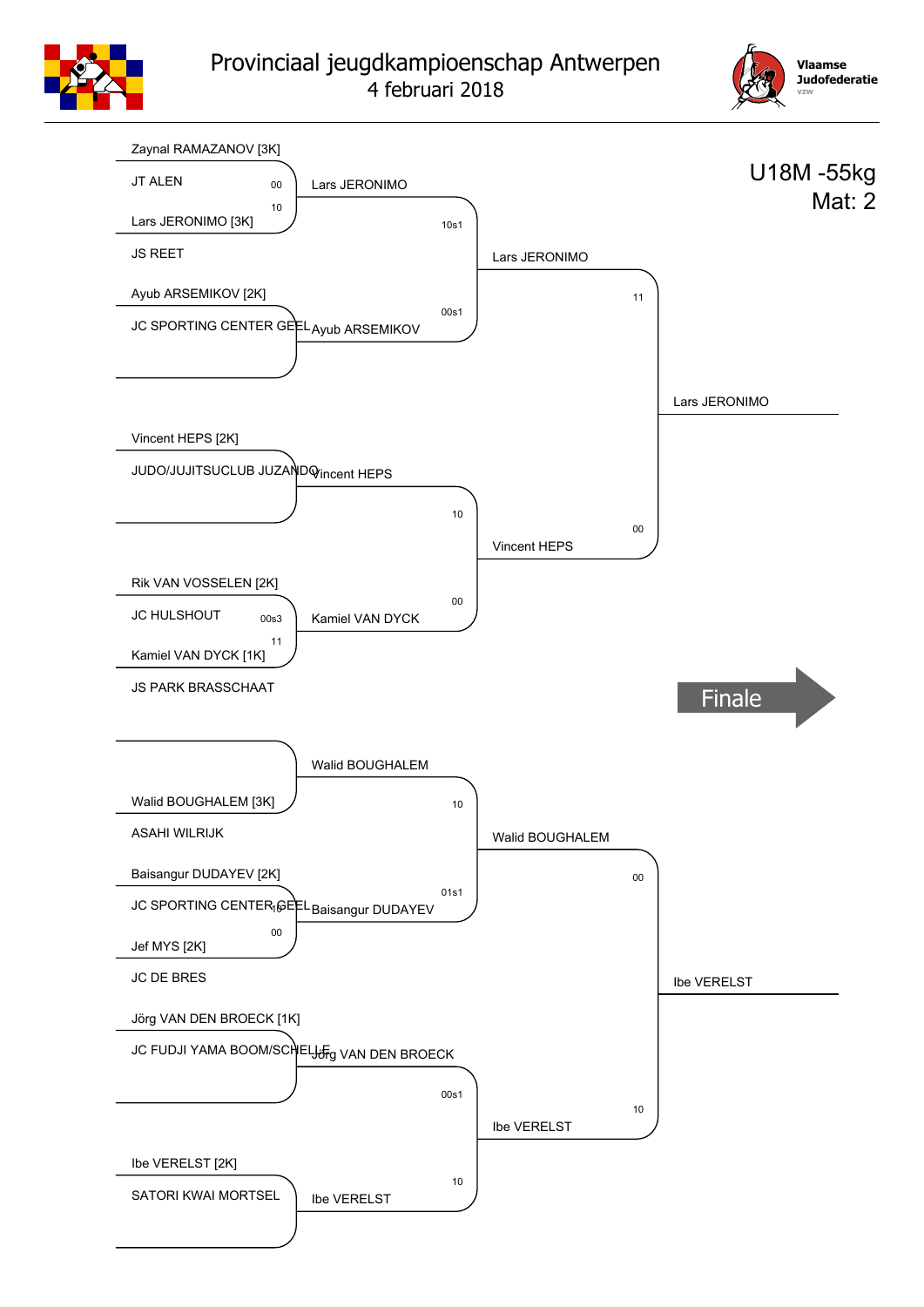